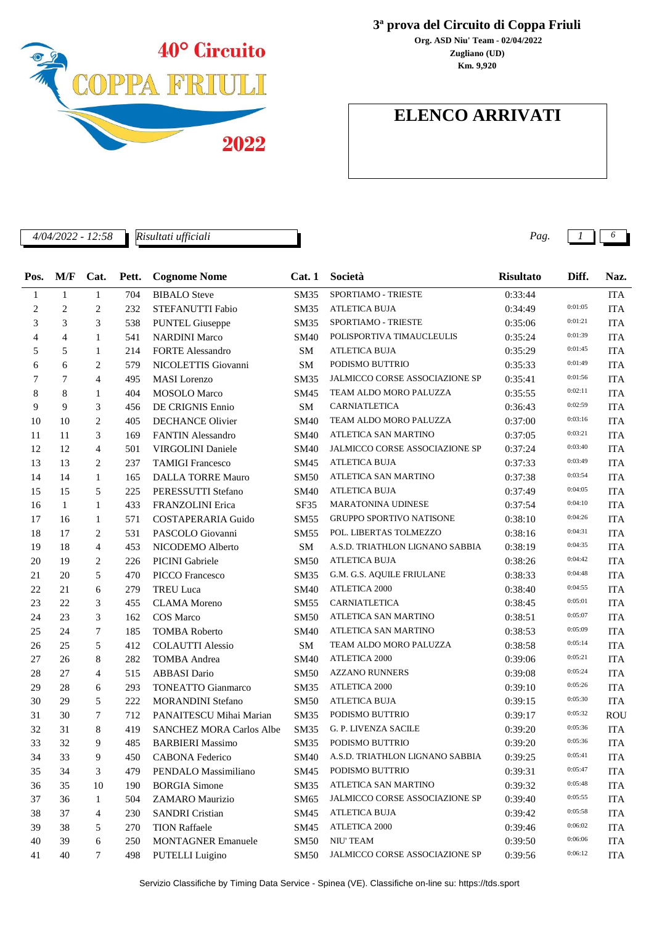

*Risultati ufficiali*

**3ª prova del Circuito di Coppa Friuli**

**Zugliano (UD) Org. ASD Niu' Team - 02/04/2022 Km. 9,920**

## **ELENCO ARRIVATI**

*4/04/2022 - 12:58 Pag. 1 6*

| Pos. | M/F          | Cat.           | Pett. | <b>Cognome Nome</b>             | Cat.1       | Società                               | <b>Risultato</b> | Diff.   | Naz.       |
|------|--------------|----------------|-------|---------------------------------|-------------|---------------------------------------|------------------|---------|------------|
| 1    | 1            | $\mathbf{1}$   | 704   | <b>BIBALO</b> Steve             | <b>SM35</b> | <b>SPORTIAMO - TRIESTE</b>            | 0:33:44          |         | <b>ITA</b> |
| 2    | 2            | $\overline{2}$ | 232   | STEFANUTTI Fabio                | <b>SM35</b> | <b>ATLETICA BUJA</b>                  | 0:34:49          | 0:01:05 | <b>ITA</b> |
| 3    | 3            | 3              | 538   | <b>PUNTEL Giuseppe</b>          | <b>SM35</b> | SPORTIAMO - TRIESTE                   | 0:35:06          | 0:01:21 | <b>ITA</b> |
| 4    | 4            | 1              | 541   | <b>NARDINI Marco</b>            | SM40        | POLISPORTIVA TIMAUCLEULIS             | 0:35:24          | 0:01:39 | <b>ITA</b> |
| 5    | 5            | $\mathbf{1}$   | 214   | <b>FORTE Alessandro</b>         | SM.         | <b>ATLETICA BUJA</b>                  | 0:35:29          | 0:01:45 | <b>ITA</b> |
| 6    | 6            | 2              | 579   | NICOLETTIS Giovanni             | <b>SM</b>   | PODISMO BUTTRIO                       | 0:35:33          | 0:01:49 | <b>ITA</b> |
| 7    | 7            | $\overline{4}$ | 495   | <b>MASI</b> Lorenzo             | <b>SM35</b> | JALMICCO CORSE ASSOCIAZIONE SP        | 0:35:41          | 0:01:56 | <b>ITA</b> |
| 8    | 8            | 1              | 404   | <b>MOSOLO</b> Marco             | SM45        | TEAM ALDO MORO PALUZZA                | 0:35:55          | 0:02:11 | <b>ITA</b> |
| 9    | 9            | 3              | 456   | DE CRIGNIS Ennio                | <b>SM</b>   | CARNIATLETICA                         | 0:36:43          | 0:02:59 | <b>ITA</b> |
| 10   | 10           | $\overline{2}$ | 405   | <b>DECHANCE Olivier</b>         | <b>SM40</b> | TEAM ALDO MORO PALUZZA                | 0:37:00          | 0:03:16 | <b>ITA</b> |
| 11   | 11           | 3              | 169   | <b>FANTIN Alessandro</b>        | <b>SM40</b> | ATLETICA SAN MARTINO                  | 0:37:05          | 0:03:21 | <b>ITA</b> |
| 12   | 12           | $\overline{4}$ | 501   | <b>VIRGOLINI</b> Daniele        | <b>SM40</b> | <b>JALMICCO CORSE ASSOCIAZIONE SP</b> | 0:37:24          | 0:03:40 | <b>ITA</b> |
| 13   | 13           | 2              | 237   | <b>TAMIGI Francesco</b>         | SM45        | <b>ATLETICA BUJA</b>                  | 0:37:33          | 0:03:49 | <b>ITA</b> |
| 14   | 14           | $\mathbf{1}$   | 165   | <b>DALLA TORRE Mauro</b>        | <b>SM50</b> | ATLETICA SAN MARTINO                  | 0:37:38          | 0:03:54 | <b>ITA</b> |
| 15   | 15           | 5              | 225   | PERESSUTTI Stefano              | <b>SM40</b> | <b>ATLETICA BUJA</b>                  | 0:37:49          | 0:04:05 | <b>ITA</b> |
| 16   | $\mathbf{1}$ | 1              | 433   | <b>FRANZOLINI</b> Erica         | SF35        | <b>MARATONINA UDINESE</b>             | 0:37:54          | 0:04:10 | <b>ITA</b> |
| 17   | 16           | 1              | 571   | <b>COSTAPERARIA Guido</b>       | <b>SM55</b> | <b>GRUPPO SPORTIVO NATISONE</b>       | 0:38:10          | 0:04:26 | <b>ITA</b> |
| 18   | 17           | 2              | 531   | PASCOLO Giovanni                | <b>SM55</b> | POL. LIBERTAS TOLMEZZO                | 0:38:16          | 0:04:31 | <b>ITA</b> |
| 19   | 18           | $\overline{4}$ | 453   | NICODEMO Alberto                | SM.         | A.S.D. TRIATHLON LIGNANO SABBIA       | 0:38:19          | 0:04:35 | <b>ITA</b> |
| 20   | 19           | 2              | 226   | <b>PICINI</b> Gabriele          | <b>SM50</b> | <b>ATLETICA BUJA</b>                  | 0:38:26          | 0:04:42 | <b>ITA</b> |
| 21   | 20           | 5              | 470   | <b>PICCO</b> Francesco          | <b>SM35</b> | G.M. G.S. AQUILE FRIULANE             | 0:38:33          | 0:04:48 | <b>ITA</b> |
| 22   | 21           | 6              | 279   | <b>TREU Luca</b>                | <b>SM40</b> | <b>ATLETICA 2000</b>                  | 0:38:40          | 0:04:55 | <b>ITA</b> |
| 23   | 22           | 3              | 455   | <b>CLAMA</b> Moreno             | <b>SM55</b> | CARNIATLETICA                         | 0:38:45          | 0:05:01 | <b>ITA</b> |
| 24   | 23           | 3              | 162   | <b>COS</b> Marco                | <b>SM50</b> | ATLETICA SAN MARTINO                  | 0:38:51          | 0:05:07 | <b>ITA</b> |
| 25   | 24           | 7              | 185   | <b>TOMBA Roberto</b>            | <b>SM40</b> | ATLETICA SAN MARTINO                  | 0:38:53          | 0:05:09 | <b>ITA</b> |
| 26   | 25           | 5              | 412   | <b>COLAUTTI Alessio</b>         | <b>SM</b>   | TEAM ALDO MORO PALUZZA                | 0:38:58          | 0:05:14 | <b>ITA</b> |
| 27   | 26           | 8              | 282   | <b>TOMBA</b> Andrea             | SM40        | ATLETICA 2000                         | 0:39:06          | 0:05:21 | <b>ITA</b> |
| 28   | 27           | $\overline{4}$ | 515   | <b>ABBASI</b> Dario             | SM50        | <b>AZZANO RUNNERS</b>                 | 0:39:08          | 0:05:24 | <b>ITA</b> |
| 29   | 28           | 6              | 293   | <b>TONEATTO Gianmarco</b>       | <b>SM35</b> | ATLETICA 2000                         | 0:39:10          | 0:05:26 | <b>ITA</b> |
| 30   | 29           | 5              | 222   | <b>MORANDINI Stefano</b>        | <b>SM50</b> | <b>ATLETICA BUJA</b>                  | 0:39:15          | 0:05:30 | <b>ITA</b> |
| 31   | 30           | 7              | 712   | PANAITESCU Mihai Marian         | <b>SM35</b> | PODISMO BUTTRIO                       | 0:39:17          | 0:05:32 | <b>ROU</b> |
| 32   | 31           | 8              | 419   | <b>SANCHEZ MORA Carlos Albe</b> | <b>SM35</b> | <b>G. P. LIVENZA SACILE</b>           | 0:39:20          | 0:05:36 | <b>ITA</b> |
| 33   | 32           | 9              | 485   | <b>BARBIERI Massimo</b>         | <b>SM35</b> | PODISMO BUTTRIO                       | 0:39:20          | 0:05:36 | <b>ITA</b> |
| 34   | 33           | 9              | 450   | CABONA Federico                 | <b>SM40</b> | A.S.D. TRIATHLON LIGNANO SABBIA       | 0:39:25          | 0:05:41 | <b>ITA</b> |
| 35   | 34           | 3              | 479   | PENDALO Massimiliano            | SM45        | PODISMO BUTTRIO                       | 0:39:31          | 0:05:47 | <b>ITA</b> |
| 36   | 35           | 10             | 190   | <b>BORGIA Simone</b>            | SM35        | ATLETICA SAN MARTINO                  | 0:39:32          | 0:05:48 | <b>ITA</b> |
| 37   | 36           | $\mathbf{1}$   | 504   | ZAMARO Maurizio                 | SM65        | JALMICCO CORSE ASSOCIAZIONE SP        | 0:39:40          | 0:05:55 | <b>ITA</b> |
| 38   | 37           | 4              | 230   | <b>SANDRI</b> Cristian          | SM45        | ATLETICA BUJA                         | 0:39:42          | 0:05:58 | <b>ITA</b> |
| 39   | 38           | 5              | 270   | <b>TION Raffaele</b>            | SM45        | ATLETICA 2000                         | 0:39:46          | 0:06:02 | <b>ITA</b> |
| 40   | 39           | 6              | 250   | <b>MONTAGNER Emanuele</b>       | SM50        | NIU' TEAM                             | 0:39:50          | 0:06:06 | <b>ITA</b> |
| 41   | 40           | 7              | 498   | <b>PUTELLI</b> Luigino          | <b>SM50</b> | JALMICCO CORSE ASSOCIAZIONE SP        | 0:39:56          | 0:06:12 | ITA        |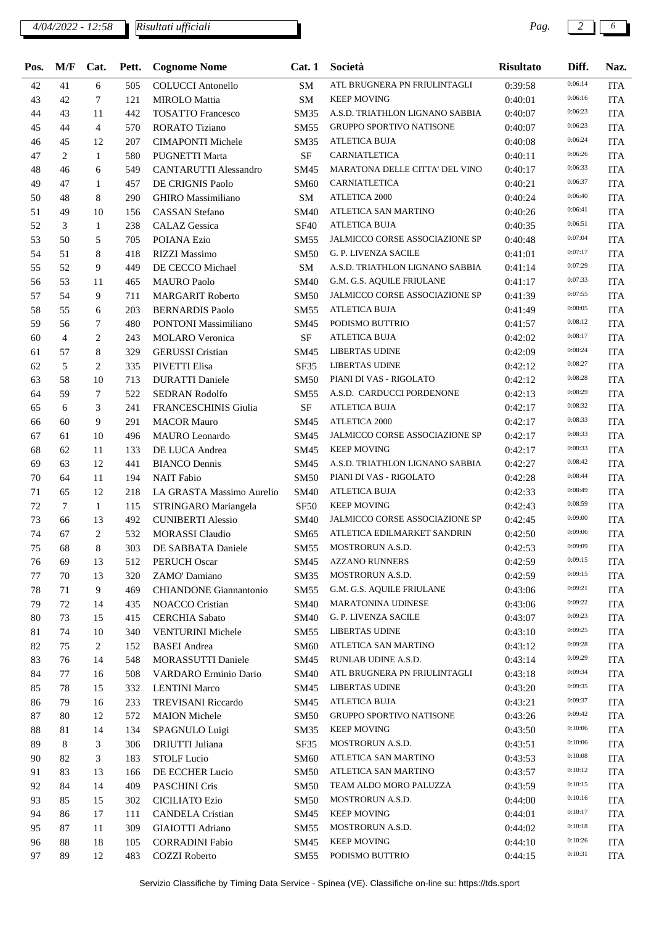#### *4/04/2022 - 12:58 Pag. 2 6 Risultati ufficiali*

| Pos. | M/F            | Cat.           | Pett. | <b>Cognome Nome</b>           | Cat.1       | Società                                               | <b>Risultato</b>   | Diff.   | Naz.                     |
|------|----------------|----------------|-------|-------------------------------|-------------|-------------------------------------------------------|--------------------|---------|--------------------------|
| 42   | 41             | 6              | 505   | <b>COLUCCI</b> Antonello      | SM          | ATL BRUGNERA PN FRIULINTAGLI                          | 0:39:58            | 0:06:14 | <b>ITA</b>               |
| 43   | 42             | 7              | 121   | <b>MIROLO</b> Mattia          | <b>SM</b>   | <b>KEEP MOVING</b>                                    | 0:40:01            | 0:06:16 | <b>ITA</b>               |
| 44   | 43             | 11             | 442   | <b>TOSATTO Francesco</b>      | SM35        | A.S.D. TRIATHLON LIGNANO SABBIA                       | 0:40:07            | 0:06:23 | <b>ITA</b>               |
| 45   | 44             | $\overline{4}$ | 570   | <b>RORATO Tiziano</b>         | <b>SM55</b> | <b>GRUPPO SPORTIVO NATISONE</b>                       | 0:40:07            | 0:06:23 | <b>ITA</b>               |
| 46   | 45             | 12             | 207   | <b>CIMAPONTI Michele</b>      | <b>SM35</b> | ATLETICA BUJA                                         | 0:40:08            | 0:06:24 | <b>ITA</b>               |
| 47   | 2              | 1              | 580   | <b>PUGNETTI Marta</b>         | SF          | CARNIATLETICA                                         | 0:40:11            | 0:06:26 | <b>ITA</b>               |
| 48   | 46             | 6              | 549   | <b>CANTARUTTI Alessandro</b>  | <b>SM45</b> | MARATONA DELLE CITTA' DEL VINO                        | 0:40:17            | 0:06:33 | <b>ITA</b>               |
| 49   | 47             | 1              | 457   | DE CRIGNIS Paolo              | <b>SM60</b> | CARNIATLETICA                                         | 0:40:21            | 0:06:37 | <b>ITA</b>               |
| 50   | 48             | 8              | 290   | <b>GHIRO</b> Massimiliano     | <b>SM</b>   | <b>ATLETICA 2000</b>                                  | 0:40:24            | 0:06:40 | <b>ITA</b>               |
| 51   | 49             | 10             | 156   | <b>CASSAN Stefano</b>         | <b>SM40</b> | ATLETICA SAN MARTINO                                  | 0:40:26            | 0:06:41 | <b>ITA</b>               |
| 52   | 3              | $\mathbf{1}$   | 238   | <b>CALAZ</b> Gessica          | <b>SF40</b> | <b>ATLETICA BUJA</b>                                  | 0:40:35            | 0:06:51 | <b>ITA</b>               |
| 53   | 50             | 5              | 705   | POIANA Ezio                   | SM55        | JALMICCO CORSE ASSOCIAZIONE SP                        | 0:40:48            | 0:07:04 | <b>ITA</b>               |
| 54   | 51             | 8              | 418   | <b>RIZZI Massimo</b>          | <b>SM50</b> | G. P. LIVENZA SACILE                                  | 0:41:01            | 0:07:17 | <b>ITA</b>               |
| 55   | 52             | 9              | 449   | DE CECCO Michael              | <b>SM</b>   | A.S.D. TRIATHLON LIGNANO SABBIA                       | 0:41:14            | 0:07:29 | <b>ITA</b>               |
| 56   | 53             | 11             | 465   | <b>MAURO</b> Paolo            | <b>SM40</b> | G.M. G.S. AQUILE FRIULANE                             | 0:41:17            | 0:07:33 | <b>ITA</b>               |
| 57   | 54             | 9              | 711   | <b>MARGARIT Roberto</b>       | <b>SM50</b> | <b>JALMICCO CORSE ASSOCIAZIONE SP</b>                 | 0:41:39            | 0:07:55 | <b>ITA</b>               |
| 58   | 55             | 6              | 203   | <b>BERNARDIS Paolo</b>        | <b>SM55</b> | <b>ATLETICA BUJA</b>                                  | 0:41:49            | 0:08:05 | <b>ITA</b>               |
| 59   | 56             | 7              | 480   | <b>PONTONI</b> Massimiliano   | SM45        | PODISMO BUTTRIO                                       | 0:41:57            | 0:08:12 | <b>ITA</b>               |
| 60   | $\overline{4}$ | 2              | 243   | <b>MOLARO</b> Veronica        | $\rm SF$    | ATLETICA BUJA                                         | 0:42:02            | 0:08:17 | <b>ITA</b>               |
| 61   | 57             | 8              | 329   | <b>GERUSSI</b> Cristian       | SM45        | <b>LIBERTAS UDINE</b>                                 | 0:42:09            | 0:08:24 | <b>ITA</b>               |
| 62   | 5              | 2              | 335   | PIVETTI Elisa                 | SF35        | <b>LIBERTAS UDINE</b>                                 | 0:42:12            | 0:08:27 | <b>ITA</b>               |
| 63   | 58             | 10             | 713   | <b>DURATTI Daniele</b>        | <b>SM50</b> | PIANI DI VAS - RIGOLATO                               | 0:42:12            | 0:08:28 | <b>ITA</b>               |
| 64   | 59             | 7              | 522   | <b>SEDRAN Rodolfo</b>         | <b>SM55</b> | A.S.D. CARDUCCI PORDENONE                             | 0:42:13            | 0:08:29 | <b>ITA</b>               |
| 65   | 6              | 3              | 241   | <b>FRANCESCHINIS Giulia</b>   | <b>SF</b>   | ATLETICA BUJA                                         | 0:42:17            | 0:08:32 | <b>ITA</b>               |
| 66   | 60             | 9              | 291   | <b>MACOR Mauro</b>            | SM45        | <b>ATLETICA 2000</b>                                  | 0:42:17            | 0:08:33 | <b>ITA</b>               |
| 67   | 61             | 10             | 496   | <b>MAURO</b> Leonardo         | SM45        | JALMICCO CORSE ASSOCIAZIONE SP                        | 0:42:17            | 0:08:33 | <b>ITA</b>               |
| 68   | 62             | 11             | 133   | DE LUCA Andrea                | SM45        | <b>KEEP MOVING</b>                                    | 0:42:17            | 0:08:33 | <b>ITA</b>               |
| 69   | 63             | 12             | 441   | <b>BIANCO Dennis</b>          | SM45        | A.S.D. TRIATHLON LIGNANO SABBIA                       | 0:42:27            | 0:08:42 | <b>ITA</b>               |
| 70   | 64             | 11             | 194   | <b>NAIT Fabio</b>             | <b>SM50</b> | PIANI DI VAS - RIGOLATO                               | 0:42:28            | 0:08:44 | <b>ITA</b>               |
| 71   | 65             | 12             | 218   | LA GRASTA Massimo Aurelio     | <b>SM40</b> | <b>ATLETICA BUJA</b>                                  | 0:42:33            | 0:08:49 | <b>ITA</b>               |
| 72   | 7              | $\mathbf{1}$   | 115   | STRINGARO Mariangela          | <b>SF50</b> | <b>KEEP MOVING</b>                                    | 0:42:43            | 0:08:59 | <b>ITA</b>               |
| 73   | 66             | 13             | 492   | <b>CUNIBERTI Alessio</b>      | <b>SM40</b> | JALMICCO CORSE ASSOCIAZIONE SP                        | 0:42:45            | 0:09:00 | <b>ITA</b>               |
| 74   | 67             | 2              | 532   | <b>MORASSI</b> Claudio        | SM65        | ATLETICA EDILMARKET SANDRIN                           | 0:42:50            | 0:09:06 | <b>ITA</b>               |
| 75   | 68             | 8              |       | 303 DE SABBATA Daniele        |             | SM55 MOSTRORUN A.S.D.                                 | 0:42:53            | 0:09:09 | <b>ITA</b>               |
| 76   | 69             | 13             | 512   | <b>PERUCH Oscar</b>           | SM45        | <b>AZZANO RUNNERS</b>                                 | 0:42:59            | 0:09:15 | <b>ITA</b>               |
| 77   | 70             | 13             | 320   | ZAMO' Damiano                 | SM35        | MOSTRORUN A.S.D.                                      | 0:42:59            | 0:09:15 |                          |
| 78   | 71             | 9              | 469   | <b>CHIANDONE</b> Giannantonio | SM55        | G.M. G.S. AQUILE FRIULANE                             | 0:43:06            | 0:09:21 | <b>ITA</b><br><b>ITA</b> |
|      |                |                |       |                               |             | <b>MARATONINA UDINESE</b>                             | 0:43:06            | 0:09:22 |                          |
| 79   | 72<br>73       | 14             | 435   | NOACCO Cristian               | <b>SM40</b> | G. P. LIVENZA SACILE                                  |                    | 0:09:23 | <b>ITA</b>               |
| 80   |                | 15             | 415   | <b>CERCHIA</b> Sabato         | <b>SM40</b> | LIBERTAS UDINE                                        | 0:43:07<br>0:43:10 | 0:09:25 | <b>ITA</b>               |
| 81   | 74             | 10             | 340   | <b>VENTURINI Michele</b>      | SM55        | ATLETICA SAN MARTINO                                  |                    | 0:09:28 | <b>ITA</b>               |
| 82   | 75             | 2              | 152   | <b>BASEI</b> Andrea           | <b>SM60</b> | RUNLAB UDINE A.S.D.                                   | 0:43:12            | 0:09:29 | <b>ITA</b>               |
| 83   | 76             | 14             | 548   | MORASSUTTI Daniele            | SM45        |                                                       | 0:43:14            | 0:09:34 | <b>ITA</b>               |
| 84   | 77             | 16             | 508   | VARDARO Erminio Dario         | <b>SM40</b> | ATL BRUGNERA PN FRIULINTAGLI<br><b>LIBERTAS UDINE</b> | 0:43:18            | 0:09:35 | <b>ITA</b>               |
| 85   | 78             | 15             | 332   | <b>LENTINI</b> Marco          | SM45        |                                                       | 0:43:20            | 0:09:37 | <b>ITA</b>               |
| 86   | 79             | 16             | 233   | <b>TREVISANI Riccardo</b>     | SM45        | <b>ATLETICA BUJA</b>                                  | 0:43:21            | 0:09:42 | <b>ITA</b>               |
| 87   | 80             | 12             | 572   | <b>MAION</b> Michele          | <b>SM50</b> | GRUPPO SPORTIVO NATISONE                              | 0:43:26            | 0:10:06 | <b>ITA</b>               |
| 88   | 81             | 14             | 134   | SPAGNULO Luigi                | SM35        | <b>KEEP MOVING</b>                                    | 0:43:50            |         | <b>ITA</b>               |
| 89   | 8              | 3              | 306   | DRIUTTI Juliana               | SF35        | MOSTRORUN A.S.D.                                      | 0:43:51            | 0:10:06 | <b>ITA</b>               |
| 90   | 82             | 3              | 183   | <b>STOLF Lucio</b>            | <b>SM60</b> | ATLETICA SAN MARTINO                                  | 0:43:53            | 0:10:08 | <b>ITA</b>               |
| 91   | 83             | 13             | 166   | DE ECCHER Lucio               | SM50        | ATLETICA SAN MARTINO                                  | 0:43:57            | 0:10:12 | <b>ITA</b>               |
| 92   | 84             | 14             | 409   | PASCHINI Cris                 | <b>SM50</b> | TEAM ALDO MORO PALUZZA                                | 0:43:59            | 0:10:15 | <b>ITA</b>               |
| 93   | 85             | 15             | 302   | <b>CICILIATO Ezio</b>         | <b>SM50</b> | MOSTRORUN A.S.D.                                      | 0:44:00            | 0:10:16 | <b>ITA</b>               |
| 94   | 86             | 17             | 111   | <b>CANDELA</b> Cristian       | SM45        | <b>KEEP MOVING</b>                                    | 0:44:01            | 0:10:17 | <b>ITA</b>               |
| 95   | 87             | 11             | 309   | <b>GIAIOTTI</b> Adriano       | SM55        | MOSTRORUN A.S.D.                                      | 0:44:02            | 0:10:18 | <b>ITA</b>               |
| 96   | 88             | 18             | 105   | <b>CORRADINI Fabio</b>        | SM45        | <b>KEEP MOVING</b>                                    | 0:44:10            | 0:10:26 | <b>ITA</b>               |
| 97   | 89             | 12             | 483   | <b>COZZI</b> Roberto          | <b>SM55</b> | PODISMO BUTTRIO                                       | 0:44:15            | 0:10:31 | <b>ITA</b>               |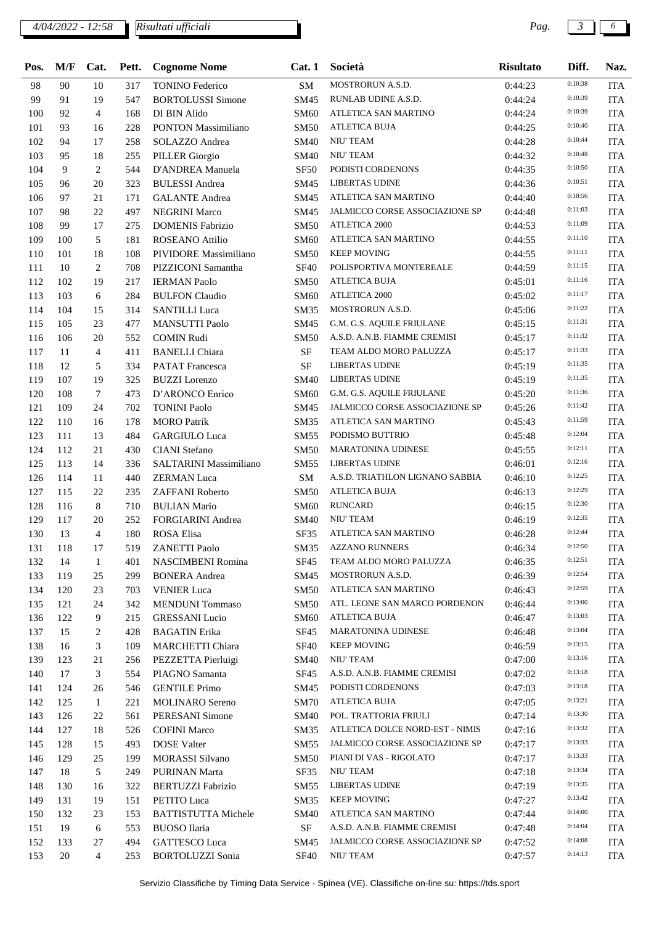### *4/04/2022 - 12:58 Pag. 3 6*

*Risultati ufficiali*

| Pos. | M/F | Cat.           | Pett. | <b>Cognome Nome</b>        | Cat.1       | Società                                  | <b>Risultato</b> | Diff.   | Naz.       |
|------|-----|----------------|-------|----------------------------|-------------|------------------------------------------|------------------|---------|------------|
| 98   | 90  | 10             | 317   | <b>TONINO Federico</b>     | SM          | MOSTRORUN A.S.D.                         | 0:44:23          | 0:10:38 | <b>ITA</b> |
| 99   | 91  | 19             | 547   | <b>BORTOLUSSI Simone</b>   | SM45        | RUNLAB UDINE A.S.D.                      | 0:44:24          | 0:10:39 | <b>ITA</b> |
| 100  | 92  | $\overline{4}$ | 168   | DI BIN Alido               | <b>SM60</b> | ATLETICA SAN MARTINO                     | 0:44:24          | 0:10:39 | <b>ITA</b> |
| 101  | 93  | 16             | 228   | PONTON Massimiliano        | <b>SM50</b> | ATLETICA BUJA                            | 0:44:25          | 0:10:40 | <b>ITA</b> |
| 102  | 94  | 17             | 258   | SOLAZZO Andrea             | <b>SM40</b> | NIU' TEAM                                | 0:44:28          | 0:10:44 | <b>ITA</b> |
| 103  | 95  | 18             | 255   | <b>PILLER</b> Giorgio      | <b>SM40</b> | NIU' TEAM                                | 0:44:32          | 0:10:48 | <b>ITA</b> |
| 104  | 9   | 2              | 544   | D'ANDREA Manuela           | <b>SF50</b> | PODISTI CORDENONS                        | 0:44:35          | 0:10:50 | <b>ITA</b> |
| 105  | 96  | 20             | 323   | <b>BULESSI</b> Andrea      | SM45        | <b>LIBERTAS UDINE</b>                    | 0:44:36          | 0:10:51 | <b>ITA</b> |
| 106  | 97  | 21             | 171   | <b>GALANTE</b> Andrea      | SM45        | ATLETICA SAN MARTINO                     | 0:44:40          | 0:10:56 | <b>ITA</b> |
| 107  | 98  | 22             | 497   | <b>NEGRINI Marco</b>       | SM45        | JALMICCO CORSE ASSOCIAZIONE SP           | 0:44:48          | 0:11:03 | <b>ITA</b> |
| 108  | 99  | 17             | 275   | <b>DOMENIS Fabrizio</b>    | <b>SM50</b> | <b>ATLETICA 2000</b>                     | 0:44:53          | 0:11:09 | <b>ITA</b> |
| 109  | 100 | 5              | 181   | <b>ROSEANO Attilio</b>     | <b>SM60</b> | ATLETICA SAN MARTINO                     | 0:44:55          | 0:11:10 | <b>ITA</b> |
| 110  | 101 | 18             | 108   | PIVIDORE Massimiliano      | <b>SM50</b> | <b>KEEP MOVING</b>                       | 0:44:55          | 0:11:11 | <b>ITA</b> |
| 111  | 10  | 2              | 708   | PIZZICONI Samantha         | <b>SF40</b> | POLISPORTIVA MONTEREALE                  | 0:44:59          | 0:11:15 | <b>ITA</b> |
| 112  | 102 | 19             | 217   | <b>IERMAN Paolo</b>        | <b>SM50</b> | <b>ATLETICA BUJA</b>                     | 0:45:01          | 0:11:16 | <b>ITA</b> |
| 113  | 103 | 6              | 284   | <b>BULFON Claudio</b>      | <b>SM60</b> | ATLETICA 2000                            | 0:45:02          | 0:11:17 | <b>ITA</b> |
| 114  | 104 | 15             | 314   | <b>SANTILLI Luca</b>       | <b>SM35</b> | MOSTRORUN A.S.D.                         | 0:45:06          | 0:11:22 | <b>ITA</b> |
| 115  | 105 | 23             | 477   | <b>MANSUTTI Paolo</b>      | SM45        | G.M. G.S. AQUILE FRIULANE                | 0:45:15          | 0:11:31 | <b>ITA</b> |
| 116  | 106 | 20             | 552   | <b>COMIN Rudi</b>          | <b>SM50</b> | A.S.D. A.N.B. FIAMME CREMISI             | 0:45:17          | 0:11:32 | <b>ITA</b> |
| 117  | 11  | $\overline{4}$ | 411   | <b>BANELLI</b> Chiara      | $\rm SF$    | TEAM ALDO MORO PALUZZA                   | 0:45:17          | 0:11:33 | <b>ITA</b> |
| 118  | 12  | 5              | 334   | <b>PATAT Francesca</b>     | $\rm SF$    | <b>LIBERTAS UDINE</b>                    | 0:45:19          | 0:11:35 | <b>ITA</b> |
| 119  | 107 | 19             | 325   | <b>BUZZI</b> Lorenzo       | <b>SM40</b> | <b>LIBERTAS UDINE</b>                    | 0:45:19          | 0:11:35 | <b>ITA</b> |
| 120  | 108 | 7              | 473   | D'ARONCO Enrico            | <b>SM60</b> | G.M. G.S. AQUILE FRIULANE                | 0:45:20          | 0:11:36 | <b>ITA</b> |
| 121  | 109 | 24             | 702   | <b>TONINI Paolo</b>        | SM45        | JALMICCO CORSE ASSOCIAZIONE SP           | 0:45:26          | 0:11:42 | <b>ITA</b> |
| 122  | 110 | 16             | 178   | <b>MORO</b> Patrik         | <b>SM35</b> | ATLETICA SAN MARTINO                     | 0:45:43          | 0:11:59 | <b>ITA</b> |
| 123  | 111 | 13             | 484   | <b>GARGIULO Luca</b>       |             | PODISMO BUTTRIO                          | 0:45:48          | 0:12:04 | <b>ITA</b> |
|      |     |                |       |                            | SM55        | <b>MARATONINA UDINESE</b>                |                  | 0:12:11 |            |
| 124  | 112 | 21             | 430   | <b>CIANI</b> Stefano       | <b>SM50</b> | <b>LIBERTAS UDINE</b>                    | 0:45:55          | 0:12:16 | <b>ITA</b> |
| 125  | 113 | 14             | 336   | SALTARINI Massimiliano     | SM55        | A.S.D. TRIATHLON LIGNANO SABBIA          | 0:46:01          | 0:12:25 | <b>ITA</b> |
| 126  | 114 | 11             | 440   | <b>ZERMAN Luca</b>         | SM          | <b>ATLETICA BUJA</b>                     | 0:46:10          | 0:12:29 | <b>ITA</b> |
| 127  | 115 | $22\,$         | 235   | ZAFFANI Roberto            | <b>SM50</b> | <b>RUNCARD</b>                           | 0:46:13          | 0:12:30 | <b>ITA</b> |
| 128  | 116 | 8              | 710   | <b>BULIAN Mario</b>        | <b>SM60</b> |                                          | 0:46:15          | 0:12:35 | <b>ITA</b> |
| 129  | 117 | 20             | 252   | FORGIARINI Andrea          | <b>SM40</b> | <b>NIU' TEAM</b><br>ATLETICA SAN MARTINO | 0:46:19          | 0:12:44 | <b>ITA</b> |
| 130  | 13  | $\overline{4}$ | 180   | <b>ROSA</b> Elisa          | SF35        |                                          | 0:46:28          | 0:12:50 | <b>ITA</b> |
| 131  | 118 | 17             | 519   | <b>ZANETTI Paolo</b>       |             | SM35 AZZANO RUNNERS                      | 0:46:34          | 0:12:51 | <b>ITA</b> |
| 132  | 14  | 1              | 401   | <b>NASCIMBENI Romina</b>   | SF45        | TEAM ALDO MORO PALUZZA                   | 0:46:35          | 0:12:54 | <b>ITA</b> |
| 133  | 119 | 25             | 299   | <b>BONERA</b> Andrea       | SM45        | MOSTRORUN A.S.D.                         | 0:46:39          |         | <b>ITA</b> |
| 134  | 120 | 23             | 703   | <b>VENIER</b> Luca         | <b>SM50</b> | ATLETICA SAN MARTINO                     | 0:46:43          | 0:12:59 | <b>ITA</b> |
| 135  | 121 | 24             | 342   | <b>MENDUNI</b> Tommaso     | <b>SM50</b> | ATL. LEONE SAN MARCO PORDENON            | 0:46:44          | 0:13:00 | <b>ITA</b> |
| 136  | 122 | 9              | 215   | <b>GRESSANI</b> Lucio      | <b>SM60</b> | <b>ATLETICA BUJA</b>                     | 0:46:47          | 0:13:03 | <b>ITA</b> |
| 137  | 15  | 2              | 428   | <b>BAGATIN</b> Erika       | <b>SF45</b> | MARATONINA UDINESE                       | 0:46:48          | 0:13:04 | <b>ITA</b> |
| 138  | 16  | 3              | 109   | <b>MARCHETTI Chiara</b>    | <b>SF40</b> | <b>KEEP MOVING</b>                       | 0:46:59          | 0:13:15 | <b>ITA</b> |
| 139  | 123 | 21             | 256   | PEZZETTA Pierluigi         | <b>SM40</b> | NIU' TEAM                                | 0:47:00          | 0:13:16 | <b>ITA</b> |
| 140  | 17  | 3              | 554   | PIAGNO Samanta             | <b>SF45</b> | A.S.D. A.N.B. FIAMME CREMISI             | 0:47:02          | 0:13:18 | <b>ITA</b> |
| 141  | 124 | 26             | 546   | <b>GENTILE Primo</b>       | <b>SM45</b> | PODISTI CORDENONS                        | 0:47:03          | 0:13:18 | <b>ITA</b> |
| 142  | 125 | $\mathbf{1}$   | 221   | <b>MOLINARO</b> Sereno     | <b>SM70</b> | <b>ATLETICA BUJA</b>                     | 0:47:05          | 0:13:21 | <b>ITA</b> |
| 143  | 126 | 22             | 561   | PERESANI Simone            | <b>SM40</b> | POL. TRATTORIA FRIULI                    | 0:47:14          | 0:13:30 | <b>ITA</b> |
| 144  | 127 | 18             | 526   | <b>COFINI</b> Marco        | SM35        | ATLETICA DOLCE NORD-EST - NIMIS          | 0:47:16          | 0:13:32 | <b>ITA</b> |
| 145  | 128 | 15             | 493   | <b>DOSE</b> Valter         | SM55        | JALMICCO CORSE ASSOCIAZIONE SP           | 0:47:17          | 0:13:33 | <b>ITA</b> |
| 146  | 129 | 25             | 199   | <b>MORASSI Silvano</b>     | <b>SM50</b> | PIANI DI VAS - RIGOLATO                  | 0:47:17          | 0:13:33 | <b>ITA</b> |
| 147  | 18  | 5              | 249   | <b>PURINAN Marta</b>       | SF35        | NIU' TEAM                                | 0:47:18          | 0:13:34 | <b>ITA</b> |
| 148  | 130 | 16             | 322   | <b>BERTUZZI Fabrizio</b>   | SM55        | <b>LIBERTAS UDINE</b>                    | 0:47:19          | 0:13:35 | <b>ITA</b> |
| 149  | 131 | 19             | 151   | PETITO Luca                | SM35        | <b>KEEP MOVING</b>                       | 0:47:27          | 0:13:42 | <b>ITA</b> |
| 150  | 132 | 23             | 153   | <b>BATTISTUTTA Michele</b> | <b>SM40</b> | ATLETICA SAN MARTINO                     | 0:47:44          | 0:14:00 | <b>ITA</b> |
| 151  | 19  | 6              | 553   | <b>BUOSO</b> Ilaria        | SF          | A.S.D. A.N.B. FIAMME CREMISI             | 0:47:48          | 0:14:04 | <b>ITA</b> |
| 152  | 133 | 27             | 494   | <b>GATTESCO Luca</b>       | SM45        | JALMICCO CORSE ASSOCIAZIONE SP           | 0:47:52          | 0:14:08 | <b>ITA</b> |
| 153  | 20  | 4              | 253   | <b>BORTOLUZZI</b> Sonia    | <b>SF40</b> | NIU' TEAM                                | 0:47:57          | 0:14:13 | <b>ITA</b> |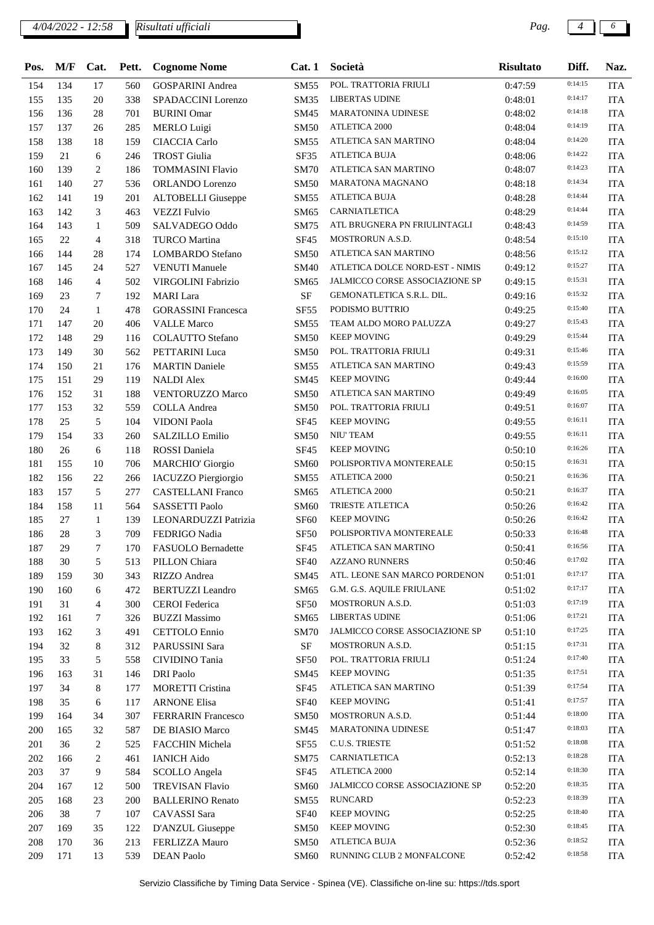### *4/04/2022 - 12:58 Pag. 4 6*

*Risultati ufficiali*

| Pos. | M/F | Cat.             | Pett.      | <b>Cognome Nome</b>        | Cat.1               | Società                         | <b>Risultato</b> | Diff.              | Naz.                        |
|------|-----|------------------|------------|----------------------------|---------------------|---------------------------------|------------------|--------------------|-----------------------------|
| 154  | 134 | 17               | 560        | <b>GOSPARINI</b> Andrea    | <b>SM55</b>         | POL. TRATTORIA FRIULI           | 0:47:59          | 0:14:15            | <b>ITA</b>                  |
| 155  | 135 | 20               | 338        | SPADACCINI Lorenzo         | <b>SM35</b>         | <b>LIBERTAS UDINE</b>           | 0:48:01          | 0:14:17            | <b>ITA</b>                  |
| 156  | 136 | 28               | 701        | <b>BURINI</b> Omar         | SM45                | <b>MARATONINA UDINESE</b>       | 0:48:02          | 0:14:18            | <b>ITA</b>                  |
| 157  | 137 | 26               | 285        | <b>MERLO Luigi</b>         | <b>SM50</b>         | ATLETICA 2000                   | 0:48:04          | 0:14:19            | <b>ITA</b>                  |
| 158  | 138 | 18               | 159        | <b>CIACCIA Carlo</b>       | SM55                | ATLETICA SAN MARTINO            | 0:48:04          | 0:14:20            | <b>ITA</b>                  |
| 159  | 21  | 6                | 246        | <b>TROST</b> Giulia        | SF35                | <b>ATLETICA BUJA</b>            | 0:48:06          | 0:14:22            | <b>ITA</b>                  |
| 160  | 139 | 2                | 186        | <b>TOMMASINI Flavio</b>    | <b>SM70</b>         | ATLETICA SAN MARTINO            | 0:48:07          | 0:14:23            | <b>ITA</b>                  |
| 161  | 140 | 27               | 536        | <b>ORLANDO</b> Lorenzo     | SM50                | <b>MARATONA MAGNANO</b>         | 0:48:18          | 0:14:34            | <b>ITA</b>                  |
| 162  | 141 | 19               | 201        | <b>ALTOBELLI</b> Giuseppe  | SM55                | ATLETICA BUJA                   | 0:48:28          | 0:14:44            | <b>ITA</b>                  |
| 163  | 142 | 3                | 463        | <b>VEZZI Fulvio</b>        | SM65                | CARNIATLETICA                   | 0:48:29          | 0:14:44            | <b>ITA</b>                  |
| 164  | 143 | 1                | 509        | SALVADEGO Oddo             | SM75                | ATL BRUGNERA PN FRIULINTAGLI    | 0:48:43          | 0:14:59            | <b>ITA</b>                  |
| 165  | 22  | 4                | 318        | <b>TURCO Martina</b>       | <b>SF45</b>         | MOSTRORUN A.S.D.                | 0:48:54          | 0:15:10            | <b>ITA</b>                  |
| 166  | 144 | 28               | 174        | <b>LOMBARDO</b> Stefano    | <b>SM50</b>         | ATLETICA SAN MARTINO            | 0:48:56          | 0:15:12            | <b>ITA</b>                  |
| 167  | 145 | 24               | 527        | <b>VENUTI Manuele</b>      | <b>SM40</b>         | ATLETICA DOLCE NORD-EST - NIMIS | 0:49:12          | 0:15:27            | <b>ITA</b>                  |
| 168  | 146 | $\overline{4}$   | 502        | VIRGOLINI Fabrizio         | SM65                | JALMICCO CORSE ASSOCIAZIONE SP  | 0:49:15          | 0:15:31            | <b>ITA</b>                  |
| 169  | 23  | 7                | 192        | <b>MARI</b> Lara           | $\rm SF$            | GEMONATLETICA S.R.L. DIL.       | 0:49:16          | 0:15:32            | <b>ITA</b>                  |
| 170  | 24  | $\mathbf{1}$     | 478        | <b>GORASSINI</b> Francesca | <b>SF55</b>         | PODISMO BUTTRIO                 | 0:49:25          | 0:15:40            | <b>ITA</b>                  |
| 171  | 147 | 20               | 406        | <b>VALLE Marco</b>         | SM55                | TEAM ALDO MORO PALUZZA          | 0:49:27          | 0:15:43            | <b>ITA</b>                  |
| 172  | 148 | 29               | 116        | <b>COLAUTTO Stefano</b>    | <b>SM50</b>         | <b>KEEP MOVING</b>              | 0:49:29          | 0:15:44            | <b>ITA</b>                  |
| 173  | 149 | 30               | 562        | <b>PETTARINI Luca</b>      | <b>SM50</b>         | POL. TRATTORIA FRIULI           | 0:49:31          | 0:15:46            | <b>ITA</b>                  |
| 174  | 150 | 21               | 176        | <b>MARTIN Daniele</b>      | SM55                | ATLETICA SAN MARTINO            | 0:49:43          | 0:15:59            | <b>ITA</b>                  |
| 175  | 151 | 29               | 119        | <b>NALDI Alex</b>          | SM45                | <b>KEEP MOVING</b>              | 0:49:44          | 0:16:00            | <b>ITA</b>                  |
| 176  | 152 | 31               | 188        | <b>VENTORUZZO Marco</b>    | <b>SM50</b>         | ATLETICA SAN MARTINO            | 0:49:49          | 0:16:05            | <b>ITA</b>                  |
| 177  | 153 | 32               | 559        | <b>COLLA</b> Andrea        | SM50                | POL. TRATTORIA FRIULI           | 0:49:51          | 0:16:07            | <b>ITA</b>                  |
| 178  | 25  | 5                | 104        | VIDONI Paola               | <b>SF45</b>         | <b>KEEP MOVING</b>              | 0:49:55          | 0:16:11            | <b>ITA</b>                  |
| 179  | 154 | 33               | 260        | SALZILLO Emilio            | <b>SM50</b>         | <b>NIU' TEAM</b>                | 0:49:55          | 0:16:11            | <b>ITA</b>                  |
| 180  | 26  | 6                | 118        | ROSSI Daniela              | <b>SF45</b>         | <b>KEEP MOVING</b>              | 0:50:10          | 0:16:26            | <b>ITA</b>                  |
| 181  | 155 | 10               | 706        |                            |                     | POLISPORTIVA MONTEREALE         | 0:50:15          | 0:16:31            | <b>ITA</b>                  |
| 182  | 156 | 22               |            | <b>MARCHIO' Giorgio</b>    | <b>SM60</b><br>SM55 | ATLETICA 2000                   | 0:50:21          | 0:16:36            | <b>ITA</b>                  |
| 183  | 157 | 5                | 266<br>277 | IACUZZO Piergiorgio        |                     | ATLETICA 2000                   | 0:50:21          | 0:16:37            | <b>ITA</b>                  |
|      |     |                  |            | <b>CASTELLANI Franco</b>   | SM65                | <b>TRIESTE ATLETICA</b>         | 0:50:26          | 0:16:42            |                             |
| 184  | 158 | 11               | 564        | SASSETTI Paolo             | SM60                | <b>KEEP MOVING</b>              |                  | 0:16:42            | <b>ITA</b>                  |
| 185  | 27  | $\mathbf{1}$     | 139        | LEONARDUZZI Patrizia       | SF <sub>60</sub>    | POLISPORTIVA MONTEREALE         | 0:50:26          | 0:16:48            | <b>ITA</b>                  |
| 186  | 28  | 3                | 709        | FEDRIGO Nadia              | <b>SF50</b>         |                                 | 0:50:33          | 0:16:56            | <b>ITA</b>                  |
| 187  | 29  | $\boldsymbol{7}$ | 170        | FASUOLO Bernadette         | <b>SF45</b>         | ATLETICA SAN MARTINO            | 0:50:41          | 0:17:02            | $\ensuremath{\mathsf{ITA}}$ |
| 188  | 30  | 5                | 513        | PILLON Chiara              | <b>SF40</b>         | <b>AZZANO RUNNERS</b>           | 0:50:46          | 0:17:17            | <b>ITA</b>                  |
| 189  | 159 | 30               | 343        | RIZZO Andrea               | SM45                | ATL. LEONE SAN MARCO PORDENON   | 0:51:01          | 0:17:17            | <b>ITA</b>                  |
| 190  | 160 | 6                | 472        | <b>BERTUZZI</b> Leandro    | SM65                | G.M. G.S. AQUILE FRIULANE       | 0:51:02          | 0:17:19            | <b>ITA</b>                  |
| 191  | 31  | 4                | 300        | <b>CEROI</b> Federica      | <b>SF50</b>         | MOSTRORUN A.S.D.                | 0:51:03          |                    | <b>ITA</b>                  |
| 192  | 161 | 7                | 326        | <b>BUZZI Massimo</b>       | SM65                | <b>LIBERTAS UDINE</b>           | 0:51:06          | 0:17:21<br>0:17:25 | <b>ITA</b>                  |
| 193  | 162 | 3                | 491        | <b>CETTOLO</b> Ennio       | SM70                | JALMICCO CORSE ASSOCIAZIONE SP  | 0:51:10          |                    | <b>ITA</b>                  |
| 194  | 32  | 8                | 312        | PARUSSINI Sara             | $\rm{SF}$           | MOSTRORUN A.S.D.                | 0:51:15          | 0:17:31            | <b>ITA</b>                  |
| 195  | 33  | 5                | 558        | CIVIDINO Tania             | SF50                | POL. TRATTORIA FRIULI           | 0:51:24          | 0:17:40            | <b>ITA</b>                  |
| 196  | 163 | 31               | 146        | <b>DRI</b> Paolo           | SM45                | <b>KEEP MOVING</b>              | 0:51:35          | 0:17:51            | <b>ITA</b>                  |
| 197  | 34  | 8                | 177        | <b>MORETTI Cristina</b>    | SF45                | ATLETICA SAN MARTINO            | 0:51:39          | 0:17:54            | ITA                         |
| 198  | 35  | 6                | 117        | <b>ARNONE Elisa</b>        | <b>SF40</b>         | <b>KEEP MOVING</b>              | 0:51:41          | 0:17:57            | <b>ITA</b>                  |
| 199  | 164 | 34               | 307        | <b>FERRARIN Francesco</b>  | <b>SM50</b>         | MOSTRORUN A.S.D.                | 0:51:44          | 0:18:00            | <b>ITA</b>                  |
| 200  | 165 | 32               | 587        | DE BIASIO Marco            | SM45                | MARATONINA UDINESE              | 0:51:47          | 0:18:03            | <b>ITA</b>                  |
| 201  | 36  | 2                | 525        | FACCHIN Michela            | SF55                | C.U.S. TRIESTE                  | 0:51:52          | 0:18:08            | <b>ITA</b>                  |
| 202  | 166 | 2                | 461        | <b>IANICH Aido</b>         | SM75                | CARNIATLETICA                   | 0:52:13          | 0:18:28            | <b>ITA</b>                  |
| 203  | 37  | 9                | 584        | <b>SCOLLO</b> Angela       | SF45                | ATLETICA 2000                   | 0:52:14          | 0:18:30            | <b>ITA</b>                  |
| 204  | 167 | 12               | 500        | <b>TREVISAN Flavio</b>     | <b>SM60</b>         | JALMICCO CORSE ASSOCIAZIONE SP  | 0:52:20          | 0:18:35            | <b>ITA</b>                  |
| 205  | 168 | 23               | 200        | <b>BALLERINO Renato</b>    | SM55                | <b>RUNCARD</b>                  | 0:52:23          | 0:18:39            | <b>ITA</b>                  |
| 206  | 38  | $\tau$           | 107        | CAVASSI Sara               | <b>SF40</b>         | KEEP MOVING                     | 0:52:25          | 0:18:40            | <b>ITA</b>                  |
| 207  | 169 | 35               | 122        | D'ANZUL Giuseppe           | <b>SM50</b>         | <b>KEEP MOVING</b>              | 0:52:30          | 0:18:45            | <b>ITA</b>                  |
| 208  | 170 | 36               | 213        | FERLIZZA Mauro             | <b>SM50</b>         | <b>ATLETICA BUJA</b>            | 0:52:36          | 0:18:52            | <b>ITA</b>                  |
| 209  | 171 | 13               | 539        | <b>DEAN Paolo</b>          | SM60                | RUNNING CLUB 2 MONFALCONE       | 0:52:42          | 0:18:58            | ITA                         |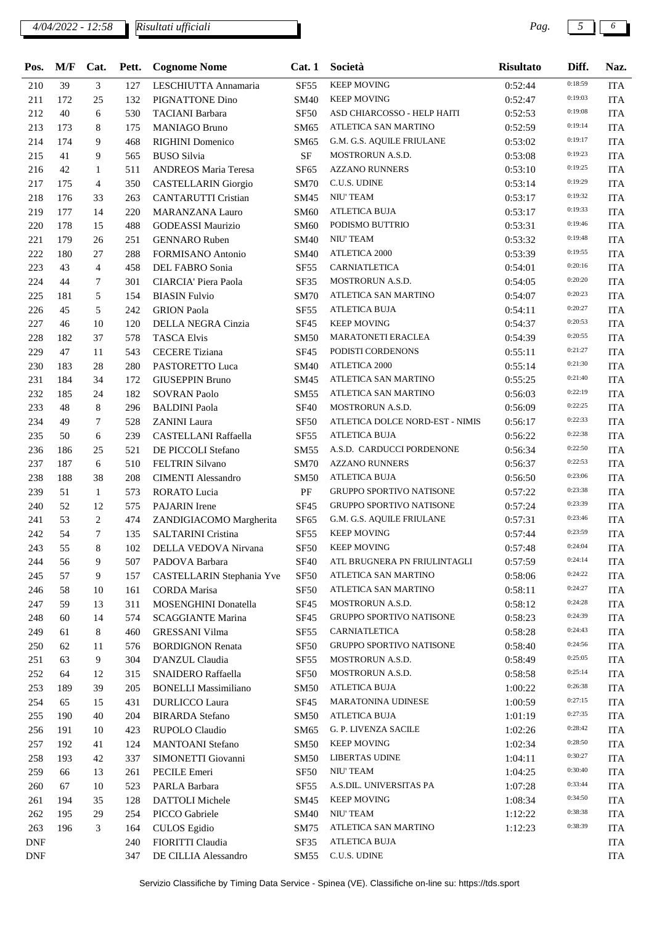### *4/04/2022 - 12:58 Pag. 5 6*

*Risultati ufficiali*

| Pos.       | M/F | Cat.           | Pett. | <b>Cognome Nome</b>         | Cat.1            | Società                         | <b>Risultato</b> | Diff.   | Naz.       |
|------------|-----|----------------|-------|-----------------------------|------------------|---------------------------------|------------------|---------|------------|
| 210        | 39  | 3              | 127   | LESCHIUTTA Annamaria        | <b>SF55</b>      | <b>KEEP MOVING</b>              | 0:52:44          | 0:18:59 | <b>ITA</b> |
| 211        | 172 | 25             | 132   | PIGNATTONE Dino             | <b>SM40</b>      | <b>KEEP MOVING</b>              | 0:52:47          | 0:19:03 | <b>ITA</b> |
| 212        | 40  | 6              | 530   | <b>TACIANI</b> Barbara      | SF50             | ASD CHIARCOSSO - HELP HAITI     | 0:52:53          | 0:19:08 | <b>ITA</b> |
| 213        | 173 | 8              | 175   | <b>MANIAGO Bruno</b>        | SM65             | ATLETICA SAN MARTINO            | 0:52:59          | 0:19:14 | <b>ITA</b> |
| 214        | 174 | 9              | 468   | <b>RIGHINI</b> Domenico     | SM65             | G.M. G.S. AQUILE FRIULANE       | 0:53:02          | 0:19:17 | <b>ITA</b> |
| 215        | 41  | 9              | 565   | <b>BUSO Silvia</b>          | <b>SF</b>        | MOSTRORUN A.S.D.                | 0:53:08          | 0:19:23 | <b>ITA</b> |
| 216        | 42  | 1              | 511   | <b>ANDREOS Maria Teresa</b> | <b>SF65</b>      | <b>AZZANO RUNNERS</b>           | 0:53:10          | 0:19:25 | <b>ITA</b> |
| 217        | 175 | $\overline{4}$ | 350   | <b>CASTELLARIN Giorgio</b>  | <b>SM70</b>      | C.U.S. UDINE                    | 0:53:14          | 0:19:29 | <b>ITA</b> |
| 218        | 176 | 33             | 263   | <b>CANTARUTTI Cristian</b>  | SM45             | NIU' TEAM                       | 0:53:17          | 0:19:32 | <b>ITA</b> |
| 219        | 177 | 14             | 220   | <b>MARANZANA Lauro</b>      | SM60             | <b>ATLETICA BUJA</b>            | 0:53:17          | 0:19:33 | <b>ITA</b> |
| 220        | 178 | 15             | 488   | <b>GODEASSI Maurizio</b>    | <b>SM60</b>      | PODISMO BUTTRIO                 | 0:53:31          | 0:19:46 | <b>ITA</b> |
| 221        | 179 | 26             | 251   | <b>GENNARO</b> Ruben        | <b>SM40</b>      | NIU' TEAM                       | 0:53:32          | 0:19:48 | <b>ITA</b> |
| 222        | 180 | 27             | 288   | <b>FORMISANO</b> Antonio    | <b>SM40</b>      | <b>ATLETICA 2000</b>            | 0:53:39          | 0:19:55 | <b>ITA</b> |
| 223        | 43  | $\overline{4}$ | 458   | DEL FABRO Sonia             | SF <sub>55</sub> | CARNIATLETICA                   | 0:54:01          | 0:20:16 | <b>ITA</b> |
| 224        | 44  | 7              | 301   | CIARCIA' Piera Paola        | SF35             | MOSTRORUN A.S.D.                | 0:54:05          | 0:20:20 | <b>ITA</b> |
| 225        | 181 | 5              | 154   | <b>BIASIN Fulvio</b>        | <b>SM70</b>      | ATLETICA SAN MARTINO            | 0:54:07          | 0:20:23 | <b>ITA</b> |
| 226        | 45  | 5              | 242   | <b>GRION</b> Paola          | <b>SF55</b>      | <b>ATLETICA BUJA</b>            | 0:54:11          | 0:20:27 | <b>ITA</b> |
| 227        | 46  | 10             | 120   | DELLA NEGRA Cinzia          | <b>SF45</b>      | <b>KEEP MOVING</b>              | 0:54:37          | 0:20:53 | <b>ITA</b> |
| 228        | 182 | 37             | 578   | <b>TASCA Elvis</b>          | <b>SM50</b>      | <b>MARATONETI ERACLEA</b>       | 0:54:39          | 0:20:55 | <b>ITA</b> |
| 229        | 47  | 11             | 543   | <b>CECERE</b> Tiziana       | <b>SF45</b>      | PODISTI CORDENONS               | 0:55:11          | 0:21:27 | <b>ITA</b> |
| 230        | 183 | 28             | 280   | PASTORETTO Luca             | <b>SM40</b>      | <b>ATLETICA 2000</b>            | 0:55:14          | 0:21:30 | <b>ITA</b> |
| 231        | 184 | 34             | 172   | <b>GIUSEPPIN Bruno</b>      | SM45             | ATLETICA SAN MARTINO            | 0:55:25          | 0:21:40 | <b>ITA</b> |
| 232        | 185 | 24             | 182   | <b>SOVRAN Paolo</b>         | <b>SM55</b>      | ATLETICA SAN MARTINO            | 0:56:03          | 0:22:19 | <b>ITA</b> |
| 233        | 48  | 8              | 296   | <b>BALDINI</b> Paola        | <b>SF40</b>      | <b>MOSTRORUN A.S.D.</b>         | 0:56:09          | 0:22:25 | <b>ITA</b> |
| 234        | 49  | $\tau$         | 528   | <b>ZANINI</b> Laura         | <b>SF50</b>      | ATLETICA DOLCE NORD-EST - NIMIS | 0:56:17          | 0:22:33 | <b>ITA</b> |
| 235        | 50  | 6              | 239   | <b>CASTELLANI Raffaella</b> | <b>SF55</b>      | <b>ATLETICA BUJA</b>            | 0:56:22          | 0:22:38 | <b>ITA</b> |
| 236        | 186 | 25             | 521   | DE PICCOLI Stefano          | <b>SM55</b>      | A.S.D. CARDUCCI PORDENONE       | 0:56:34          | 0:22:50 | <b>ITA</b> |
| 237        | 187 | 6              | 510   | <b>FELTRIN Silvano</b>      | <b>SM70</b>      | <b>AZZANO RUNNERS</b>           | 0:56:37          | 0:22:53 | <b>ITA</b> |
| 238        | 188 | 38             | 208   | <b>CIMENTI Alessandro</b>   | <b>SM50</b>      | <b>ATLETICA BUJA</b>            | 0:56:50          | 0:23:06 | <b>ITA</b> |
| 239        | 51  | 1              | 573   | RORATO Lucia                | $\rm PF$         | <b>GRUPPO SPORTIVO NATISONE</b> | 0:57:22          | 0:23:38 | <b>ITA</b> |
| 240        | 52  | 12             | 575   | <b>PAJARIN</b> Irene        | <b>SF45</b>      | <b>GRUPPO SPORTIVO NATISONE</b> | 0:57:24          | 0:23:39 | <b>ITA</b> |
| 241        | 53  | 2              | 474   | ZANDIGIACOMO Margherita     | <b>SF65</b>      | G.M. G.S. AQUILE FRIULANE       | 0:57:31          | 0:23:46 | <b>ITA</b> |
| 242        | 54  | 7              | 135   | <b>SALTARINI Cristina</b>   | <b>SF55</b>      | <b>KEEP MOVING</b>              | 0:57:44          | 0:23:59 | <b>ITA</b> |
| 243        | 55  | 8              | 102   | DELLA VEDOVA Nirvana        | SF <sub>50</sub> | <b>KEEP MOVING</b>              | 0:57:48          | 0:24:04 | <b>ITA</b> |
| 244        | 56  | 9              | 507   | PADOVA Barbara              | <b>SF40</b>      | ATL BRUGNERA PN FRIULINTAGLI    | 0:57:59          | 0:24:14 | <b>ITA</b> |
| 245        | 57  | 9              | 157   | CASTELLARIN Stephania Yve   | <b>SF50</b>      | ATLETICA SAN MARTINO            | 0:58:06          | 0:24:22 | <b>ITA</b> |
| 246        | 58  | 10             | 161   | <b>CORDA</b> Marisa         | SF <sub>50</sub> | ATLETICA SAN MARTINO            | 0:58:11          | 0:24:27 | <b>ITA</b> |
| 247        | 59  | 13             | 311   | MOSENGHINI Donatella        | SF <sub>45</sub> | MOSTRORUN A.S.D.                | 0:58:12          | 0:24:28 | <b>ITA</b> |
| 248        | 60  | 14             | 574   | <b>SCAGGIANTE Marina</b>    | SF <sub>45</sub> | GRUPPO SPORTIVO NATISONE        | 0:58:23          | 0:24:39 | <b>ITA</b> |
| 249        | 61  | 8              | 460   | <b>GRESSANI Vilma</b>       | SF <sub>55</sub> | CARNIATLETICA                   | 0:58:28          | 0:24:43 | <b>ITA</b> |
| 250        | 62  | 11             | 576   | <b>BORDIGNON Renata</b>     | SF <sub>50</sub> | <b>GRUPPO SPORTIVO NATISONE</b> | 0:58:40          | 0:24:56 | <b>ITA</b> |
| 251        | 63  | 9              | 304   | D'ANZUL Claudia             | SF <sub>55</sub> | MOSTRORUN A.S.D.                | 0:58:49          | 0:25:05 | <b>ITA</b> |
| 252        | 64  | 12             | 315   | <b>SNAIDERO Raffaella</b>   | SF <sub>50</sub> | MOSTRORUN A.S.D.                | 0:58:58          | 0:25:14 | <b>ITA</b> |
| 253        | 189 | 39             | 205   | <b>BONELLI Massimiliano</b> | <b>SM50</b>      | <b>ATLETICA BUJA</b>            | 1:00:22          | 0:26:38 | <b>ITA</b> |
| 254        | 65  | 15             | 431   | DURLICCO Laura              | SF <sub>45</sub> | <b>MARATONINA UDINESE</b>       | 1:00:59          | 0:27:15 | <b>ITA</b> |
| 255        | 190 | 40             | 204   | <b>BIRARDA</b> Stefano      | <b>SM50</b>      | <b>ATLETICA BUJA</b>            | 1:01:19          | 0:27:35 | <b>ITA</b> |
| 256        | 191 | 10             | 423   | RUPOLO Claudio              | SM65             | G. P. LIVENZA SACILE            | 1:02:26          | 0:28:42 | <b>ITA</b> |
| 257        | 192 | 41             | 124   | <b>MANTOANI</b> Stefano     | SM50             | <b>KEEP MOVING</b>              | 1:02:34          | 0:28:50 | <b>ITA</b> |
| 258        | 193 | 42             | 337   | SIMONETTI Giovanni          | <b>SM50</b>      | LIBERTAS UDINE                  | 1:04:11          | 0:30:27 | <b>ITA</b> |
| 259        | 66  | 13             | 261   | PECILE Emeri                | SF50             | NIU' TEAM                       | 1:04:25          | 0:30:40 | <b>ITA</b> |
| 260        | 67  | 10             | 523   | PARLA Barbara               | SF <sub>55</sub> | A.S.DIL. UNIVERSITAS PA         | 1:07:28          | 0:33:44 | <b>ITA</b> |
| 261        | 194 | 35             | 128   | DATTOLI Michele             | SM45             | <b>KEEP MOVING</b>              | 1:08:34          | 0:34:50 | <b>ITA</b> |
| 262        | 195 | 29             | 254   | PICCO Gabriele              | <b>SM40</b>      | NIU' TEAM                       | 1:12:22          | 0:38:38 | <b>ITA</b> |
| 263        | 196 | 3              | 164   | <b>CULOS</b> Egidio         | SM75             | ATLETICA SAN MARTINO            | 1:12:23          | 0:38:39 | <b>ITA</b> |
| <b>DNF</b> |     |                | 240   | FIORITTI Claudia            | SF35             | <b>ATLETICA BUJA</b>            |                  |         | <b>ITA</b> |
| <b>DNF</b> |     |                | 347   | DE CILLIA Alessandro        | SM55             | C.U.S. UDINE                    |                  |         | <b>ITA</b> |